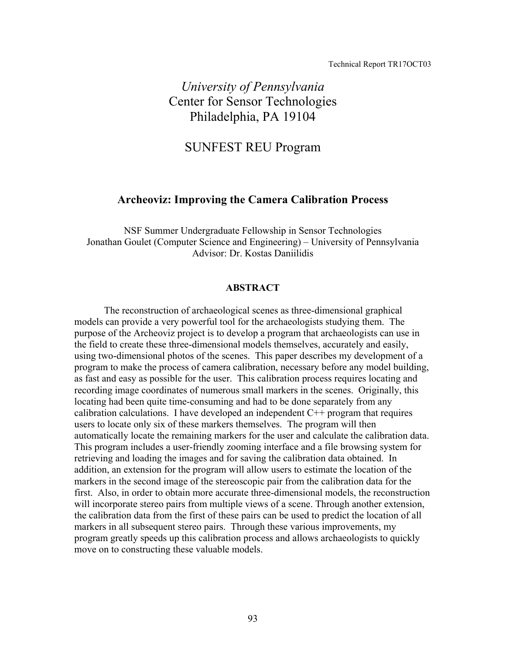#### Technical Report TR17OCT03

# *University of Pennsylvania*  Center for Sensor Technologies Philadelphia, PA 19104

## SUNFEST REU Program

## **Archeoviz: Improving the Camera Calibration Process**

NSF Summer Undergraduate Fellowship in Sensor Technologies Jonathan Goulet (Computer Science and Engineering) – University of Pennsylvania Advisor: Dr. Kostas Daniilidis

#### **ABSTRACT**

The reconstruction of archaeological scenes as three-dimensional graphical models can provide a very powerful tool for the archaeologists studying them. The purpose of the Archeoviz project is to develop a program that archaeologists can use in the field to create these three-dimensional models themselves, accurately and easily, using two-dimensional photos of the scenes. This paper describes my development of a program to make the process of camera calibration, necessary before any model building, as fast and easy as possible for the user. This calibration process requires locating and recording image coordinates of numerous small markers in the scenes. Originally, this locating had been quite time-consuming and had to be done separately from any calibration calculations. I have developed an independent  $C^{++}$  program that requires users to locate only six of these markers themselves. The program will then automatically locate the remaining markers for the user and calculate the calibration data. This program includes a user-friendly zooming interface and a file browsing system for retrieving and loading the images and for saving the calibration data obtained. In addition, an extension for the program will allow users to estimate the location of the markers in the second image of the stereoscopic pair from the calibration data for the first. Also, in order to obtain more accurate three-dimensional models, the reconstruction will incorporate stereo pairs from multiple views of a scene. Through another extension, the calibration data from the first of these pairs can be used to predict the location of all markers in all subsequent stereo pairs. Through these various improvements, my program greatly speeds up this calibration process and allows archaeologists to quickly move on to constructing these valuable models.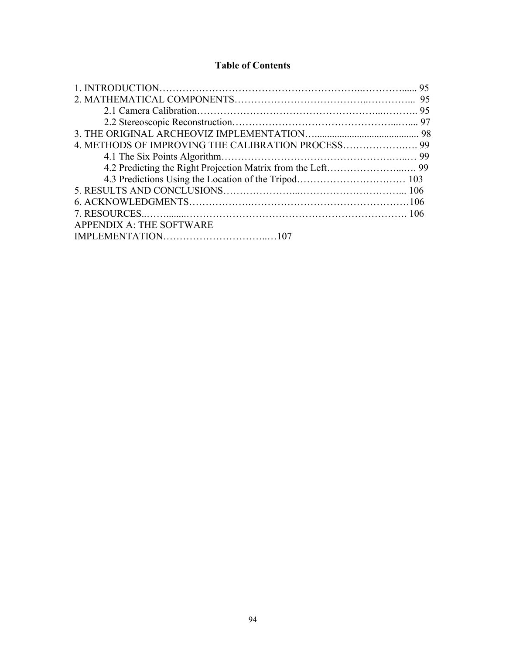## **Table of Contents**

|                          | -95 |
|--------------------------|-----|
|                          |     |
|                          |     |
|                          |     |
|                          |     |
|                          |     |
|                          |     |
|                          |     |
|                          |     |
|                          |     |
|                          |     |
|                          |     |
| APPENDIX A: THE SOFTWARE |     |
|                          |     |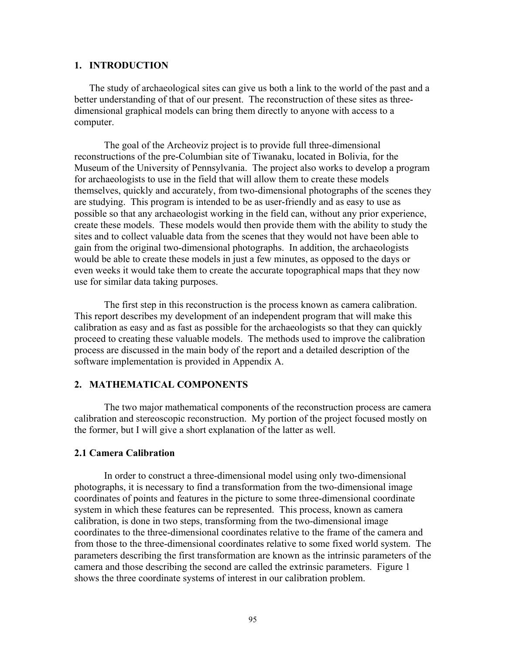#### **1. INTRODUCTION**

The study of archaeological sites can give us both a link to the world of the past and a better understanding of that of our present. The reconstruction of these sites as threedimensional graphical models can bring them directly to anyone with access to a computer.

The goal of the Archeoviz project is to provide full three-dimensional reconstructions of the pre-Columbian site of Tiwanaku, located in Bolivia, for the Museum of the University of Pennsylvania. The project also works to develop a program for archaeologists to use in the field that will allow them to create these models themselves, quickly and accurately, from two-dimensional photographs of the scenes they are studying. This program is intended to be as user-friendly and as easy to use as possible so that any archaeologist working in the field can, without any prior experience, create these models. These models would then provide them with the ability to study the sites and to collect valuable data from the scenes that they would not have been able to gain from the original two-dimensional photographs. In addition, the archaeologists would be able to create these models in just a few minutes, as opposed to the days or even weeks it would take them to create the accurate topographical maps that they now use for similar data taking purposes.

The first step in this reconstruction is the process known as camera calibration. This report describes my development of an independent program that will make this calibration as easy and as fast as possible for the archaeologists so that they can quickly proceed to creating these valuable models. The methods used to improve the calibration process are discussed in the main body of the report and a detailed description of the software implementation is provided in Appendix A.

#### **2. MATHEMATICAL COMPONENTS**

The two major mathematical components of the reconstruction process are camera calibration and stereoscopic reconstruction. My portion of the project focused mostly on the former, but I will give a short explanation of the latter as well.

#### **2.1 Camera Calibration**

In order to construct a three-dimensional model using only two-dimensional photographs, it is necessary to find a transformation from the two-dimensional image coordinates of points and features in the picture to some three-dimensional coordinate system in which these features can be represented. This process, known as camera calibration, is done in two steps, transforming from the two-dimensional image coordinates to the three-dimensional coordinates relative to the frame of the camera and from those to the three-dimensional coordinates relative to some fixed world system. The parameters describing the first transformation are known as the intrinsic parameters of the camera and those describing the second are called the extrinsic parameters. Figure 1 shows the three coordinate systems of interest in our calibration problem.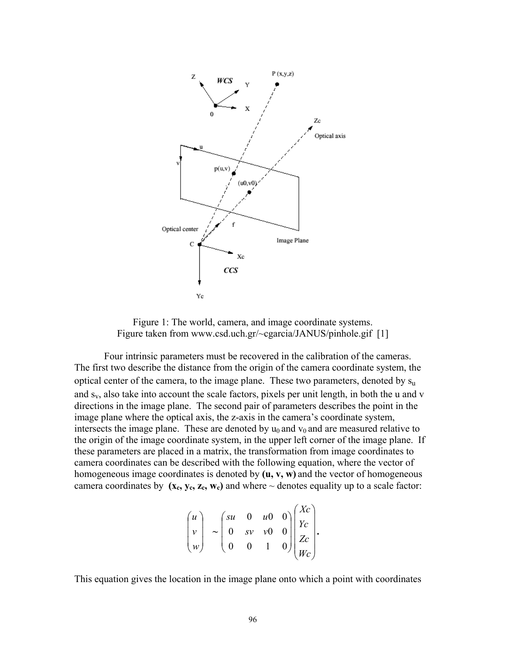

Figure 1: The world, camera, and image coordinate systems. Figure taken from www.csd.uch.gr/~cgarcia/JANUS/pinhole.gif [1]

Four intrinsic parameters must be recovered in the calibration of the cameras. The first two describe the distance from the origin of the camera coordinate system, the optical center of the camera, to the image plane. These two parameters, denoted by s<sub>u</sub> and sv, also take into account the scale factors, pixels per unit length, in both the u and v directions in the image plane. The second pair of parameters describes the point in the image plane where the optical axis, the z-axis in the camera's coordinate system, intersects the image plane. These are denoted by  $u_0$  and  $v_0$  and are measured relative to the origin of the image coordinate system, in the upper left corner of the image plane. If these parameters are placed in a matrix, the transformation from image coordinates to camera coordinates can be described with the following equation, where the vector of homogeneous image coordinates is denoted by **(u, v, w)** and the vector of homogeneous camera coordinates by  $(x_c, y_c, z_c, w_c)$  and where  $\sim$  denotes equality up to a scale factor:

$$
\begin{pmatrix} u \\ v \\ w \end{pmatrix} \sim \begin{pmatrix} su & 0 & u & 0 \\ 0 & sv & v & 0 \\ 0 & 0 & 1 & 0 \end{pmatrix} \begin{pmatrix} Xc \\ Yc \\ Zc \\ Wc \end{pmatrix}.
$$

 $\lambda$ <sub>x</sub>

This equation gives the location in the image plane onto which a point with coordinates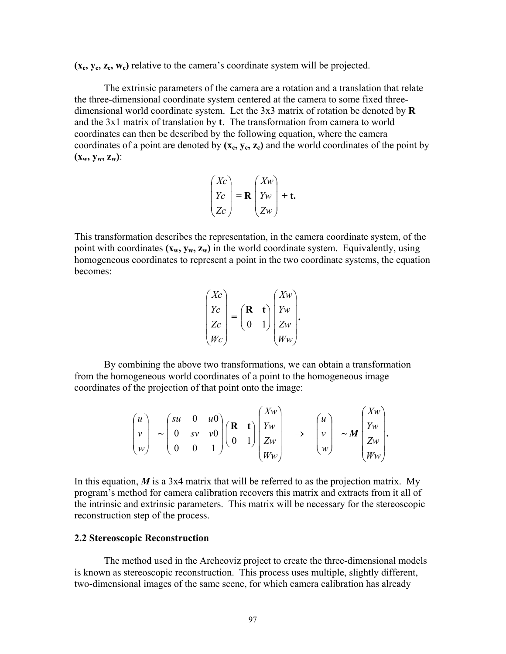(**x<sub>c</sub>, y<sub>c</sub>, z<sub>c</sub>, w<sub>c</sub>)** relative to the camera's coordinate system will be projected.

The extrinsic parameters of the camera are a rotation and a translation that relate the three-dimensional coordinate system centered at the camera to some fixed threedimensional world coordinate system. Let the 3x3 matrix of rotation be denoted by **R** and the 3x1 matrix of translation by **t**. The transformation from camera to world coordinates can then be described by the following equation, where the camera coordinates of a point are denoted by  $(x_c, y_c, z_c)$  and the world coordinates of the point by **(xw, yw, zw)**:

$$
\begin{pmatrix} Xc \\ Yc \\ Zc \end{pmatrix} = \mathbf{R} \begin{pmatrix} Xw \\ Yw \\ Zw \end{pmatrix} + \mathbf{t}.
$$

This transformation describes the representation, in the camera coordinate system, of the point with coordinates  $(x_w, y_w, z_w)$  in the world coordinate system. Equivalently, using homogeneous coordinates to represent a point in the two coordinate systems, the equation becomes:

$$
\begin{pmatrix} Xc \\ Yc \\ Zc \\ Wc \end{pmatrix} = \begin{pmatrix} \mathbf{R} & \mathbf{t} \\ 0 & 1 \end{pmatrix} \begin{pmatrix} Xw \\ Yw \\ Zw \\ Ww \end{pmatrix}.
$$

By combining the above two transformations, we can obtain a transformation from the homogeneous world coordinates of a point to the homogeneous image coordinates of the projection of that point onto the image:

$$
\begin{pmatrix} u \\ v \\ w \end{pmatrix} \sim \begin{pmatrix} su & 0 & u0 \\ 0 & sv & v0 \\ 0 & 0 & 1 \end{pmatrix} \begin{pmatrix} R & t \\ 0 & 1 \end{pmatrix} \begin{pmatrix} Xw \\ Yw \\ Zw \\ Ww \end{pmatrix} \rightarrow \begin{pmatrix} u \\ v \\ w \end{pmatrix} \sim M \begin{pmatrix} Xw \\ Yw \\ Zw \\ Ww \end{pmatrix}.
$$

In this equation,  $M$  is a 3x4 matrix that will be referred to as the projection matrix. My program's method for camera calibration recovers this matrix and extracts from it all of the intrinsic and extrinsic parameters. This matrix will be necessary for the stereoscopic reconstruction step of the process.

#### **2.2 Stereoscopic Reconstruction**

The method used in the Archeoviz project to create the three-dimensional models is known as stereoscopic reconstruction. This process uses multiple, slightly different, two-dimensional images of the same scene, for which camera calibration has already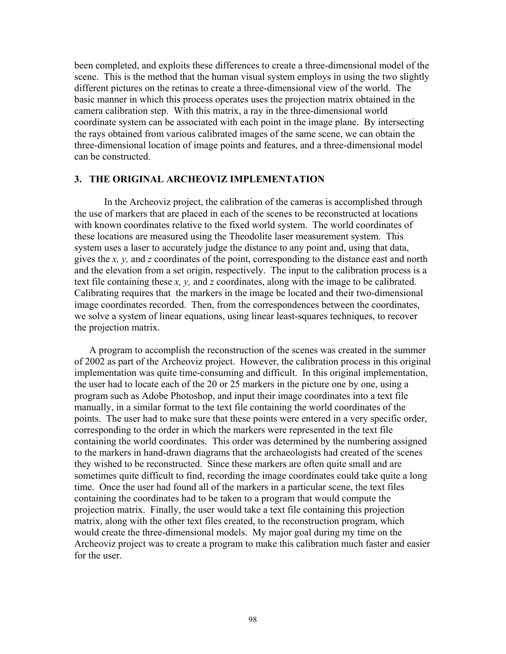been completed, and exploits these differences to create a three-dimensional model of the scene. This is the method that the human visual system employs in using the two slightly different pictures on the retinas to create a three-dimensional view of the world. The basic manner in which this process operates uses the projection matrix obtained in the camera calibration step. With this matrix, a ray in the three-dimensional world coordinate system can be associated with each point in the image plane. By intersecting the rays obtained from various calibrated images of the same scene, we can obtain the three-dimensional location of image points and features, and a three-dimensional model can be constructed.

#### **3. THE ORIGINAL ARCHEOVIZ IMPLEMENTATION**

In the Archeoviz project, the calibration of the cameras is accomplished through the use of markers that are placed in each of the scenes to be reconstructed at locations with known coordinates relative to the fixed world system. The world coordinates of these locations are measured using the Theodolite laser measurement system. This system uses a laser to accurately judge the distance to any point and, using that data, gives the *x, y,* and *z* coordinates of the point, corresponding to the distance east and north and the elevation from a set origin, respectively. The input to the calibration process is a text file containing these *x, y,* and *z* coordinates, along with the image to be calibrated. Calibrating requires that the markers in the image be located and their two-dimensional image coordinates recorded. Then, from the correspondences between the coordinates, we solve a system of linear equations, using linear least-squares techniques, to recover the projection matrix.

A program to accomplish the reconstruction of the scenes was created in the summer of 2002 as part of the Archeoviz project. However, the calibration process in this original implementation was quite time-consuming and difficult. In this original implementation, the user had to locate each of the 20 or 25 markers in the picture one by one, using a program such as Adobe Photoshop, and input their image coordinates into a text file manually, in a similar format to the text file containing the world coordinates of the points. The user had to make sure that these points were entered in a very specific order, corresponding to the order in which the markers were represented in the text file containing the world coordinates. This order was determined by the numbering assigned to the markers in hand-drawn diagrams that the archaeologists had created of the scenes they wished to be reconstructed. Since these markers are often quite small and are sometimes quite difficult to find, recording the image coordinates could take quite a long time. Once the user had found all of the markers in a particular scene, the text files containing the coordinates had to be taken to a program that would compute the projection matrix. Finally, the user would take a text file containing this projection matrix, along with the other text files created, to the reconstruction program, which would create the three-dimensional models. My major goal during my time on the Archeoviz project was to create a program to make this calibration much faster and easier for the user.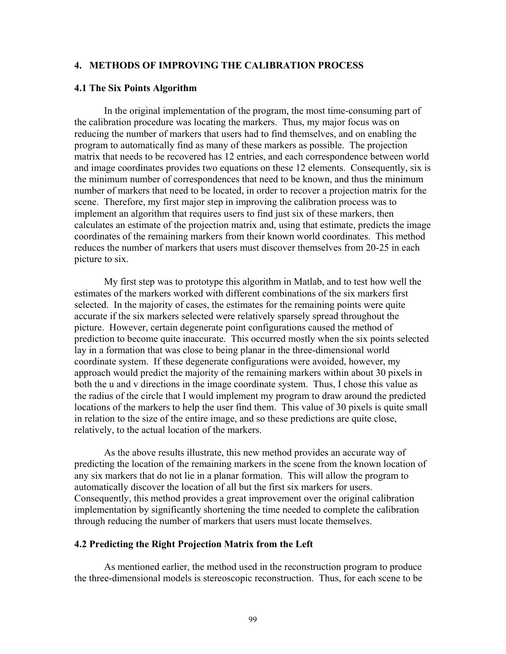### **4. METHODS OF IMPROVING THE CALIBRATION PROCESS**

#### **4.1 The Six Points Algorithm**

In the original implementation of the program, the most time-consuming part of the calibration procedure was locating the markers. Thus, my major focus was on reducing the number of markers that users had to find themselves, and on enabling the program to automatically find as many of these markers as possible. The projection matrix that needs to be recovered has 12 entries, and each correspondence between world and image coordinates provides two equations on these 12 elements. Consequently, six is the minimum number of correspondences that need to be known, and thus the minimum number of markers that need to be located, in order to recover a projection matrix for the scene. Therefore, my first major step in improving the calibration process was to implement an algorithm that requires users to find just six of these markers, then calculates an estimate of the projection matrix and, using that estimate, predicts the image coordinates of the remaining markers from their known world coordinates. This method reduces the number of markers that users must discover themselves from 20-25 in each picture to six.

My first step was to prototype this algorithm in Matlab, and to test how well the estimates of the markers worked with different combinations of the six markers first selected. In the majority of cases, the estimates for the remaining points were quite accurate if the six markers selected were relatively sparsely spread throughout the picture. However, certain degenerate point configurations caused the method of prediction to become quite inaccurate. This occurred mostly when the six points selected lay in a formation that was close to being planar in the three-dimensional world coordinate system. If these degenerate configurations were avoided, however, my approach would predict the majority of the remaining markers within about 30 pixels in both the u and v directions in the image coordinate system. Thus, I chose this value as the radius of the circle that I would implement my program to draw around the predicted locations of the markers to help the user find them. This value of 30 pixels is quite small in relation to the size of the entire image, and so these predictions are quite close, relatively, to the actual location of the markers.

As the above results illustrate, this new method provides an accurate way of predicting the location of the remaining markers in the scene from the known location of any six markers that do not lie in a planar formation. This will allow the program to automatically discover the location of all but the first six markers for users. Consequently, this method provides a great improvement over the original calibration implementation by significantly shortening the time needed to complete the calibration through reducing the number of markers that users must locate themselves.

#### **4.2 Predicting the Right Projection Matrix from the Left**

As mentioned earlier, the method used in the reconstruction program to produce the three-dimensional models is stereoscopic reconstruction. Thus, for each scene to be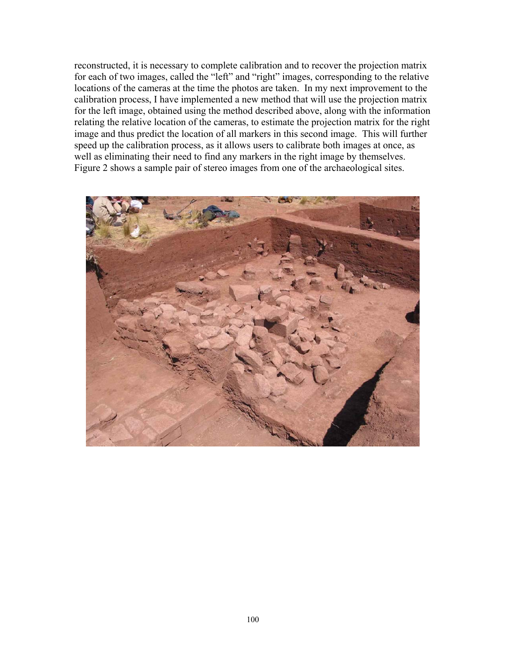reconstructed, it is necessary to complete calibration and to recover the projection matrix for each of two images, called the "left" and "right" images, corresponding to the relative locations of the cameras at the time the photos are taken. In my next improvement to the calibration process, I have implemented a new method that will use the projection matrix for the left image, obtained using the method described above, along with the information relating the relative location of the cameras, to estimate the projection matrix for the right image and thus predict the location of all markers in this second image. This will further speed up the calibration process, as it allows users to calibrate both images at once, as well as eliminating their need to find any markers in the right image by themselves. Figure 2 shows a sample pair of stereo images from one of the archaeological sites.

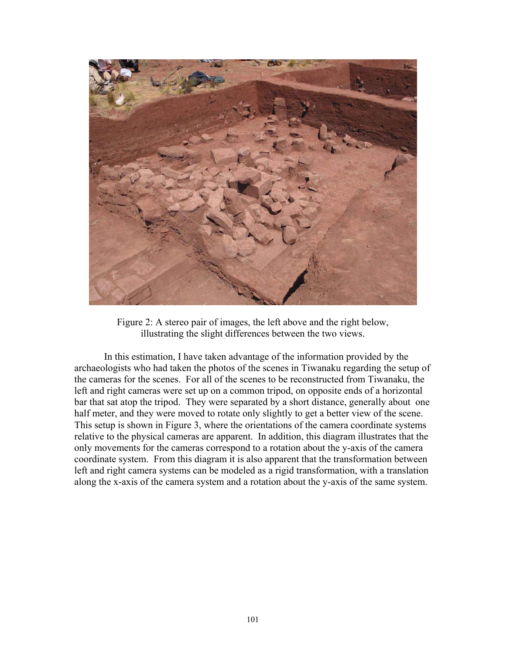

Figure 2: A stereo pair of images, the left above and the right below, illustrating the slight differences between the two views.

In this estimation, I have taken advantage of the information provided by the archaeologists who had taken the photos of the scenes in Tiwanaku regarding the setup of the cameras for the scenes. For all of the scenes to be reconstructed from Tiwanaku, the left and right cameras were set up on a common tripod, on opposite ends of a horizontal bar that sat atop the tripod. They were separated by a short distance, generally about one half meter, and they were moved to rotate only slightly to get a better view of the scene. This setup is shown in Figure 3, where the orientations of the camera coordinate systems relative to the physical cameras are apparent. In addition, this diagram illustrates that the only movements for the cameras correspond to a rotation about the y-axis of the camera coordinate system. From this diagram it is also apparent that the transformation between left and right camera systems can be modeled as a rigid transformation, with a translation along the x-axis of the camera system and a rotation about the y-axis of the same system.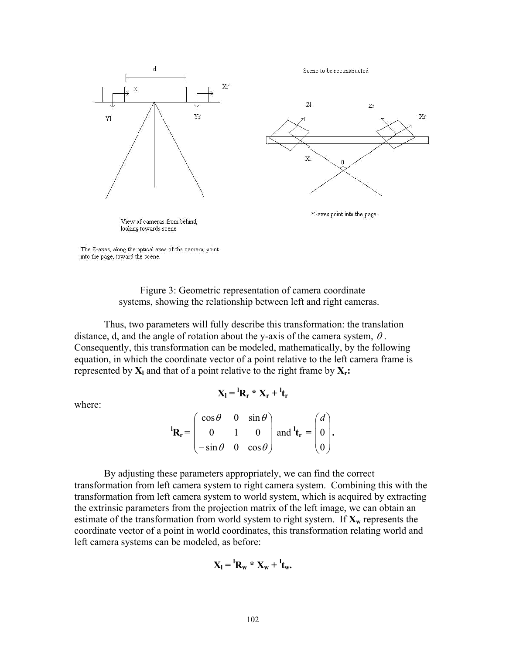

into the page, toward the scene.

Figure 3: Geometric representation of camera coordinate systems, showing the relationship between left and right cameras.

Thus, two parameters will fully describe this transformation: the translation distance, d, and the angle of rotation about the y-axis of the camera system,  $\theta$ . Consequently, this transformation can be modeled, mathematically, by the following equation, in which the coordinate vector of a point relative to the left camera frame is represented by  $X_l$  and that of a point relative to the right frame by  $X_r$ :

where:

$$
\mathbf{X}_l = {}^l\mathbf{R}_r * \mathbf{X}_r + {}^l\mathbf{t}_r
$$

$$
\mathbf{R_r} = \begin{pmatrix} \cos \theta & 0 & \sin \theta \\ 0 & 1 & 0 \\ -\sin \theta & 0 & \cos \theta \end{pmatrix} \text{ and } \mathbf{t_r} = \begin{pmatrix} d \\ 0 \\ 0 \end{pmatrix}.
$$

By adjusting these parameters appropriately, we can find the correct transformation from left camera system to right camera system. Combining this with the transformation from left camera system to world system, which is acquired by extracting the extrinsic parameters from the projection matrix of the left image, we can obtain an estimate of the transformation from world system to right system. If  $X_w$  represents the coordinate vector of a point in world coordinates, this transformation relating world and left camera systems can be modeled, as before:

$$
\mathbf{X}_{\mathbf{l}} = {}^{\mathbf{l}}\mathbf{R}_{\mathbf{w}} \cdot \mathbf{X}_{\mathbf{w}} + {}^{\mathbf{l}}\mathbf{t}_{\mathbf{w}}.
$$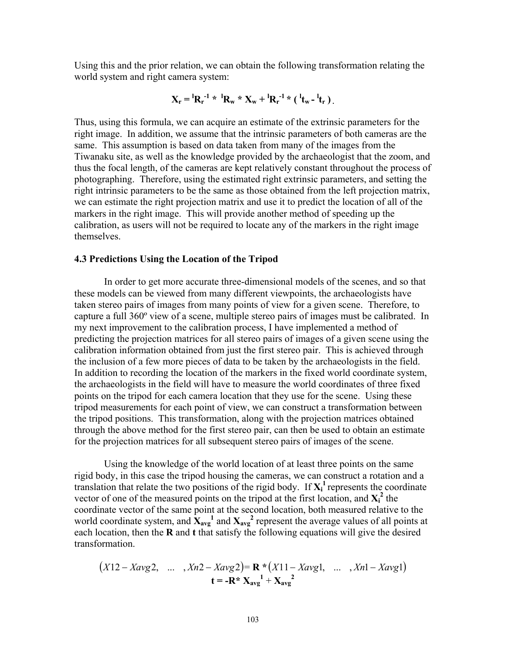Using this and the prior relation, we can obtain the following transformation relating the world system and right camera system:

$$
X_r = {}^{l}R_r^{-1} * {}^{l}R_w * X_w + {}^{l}R_r^{-1} * ({}^{l}t_w - {}^{l}t_r).
$$

Thus, using this formula, we can acquire an estimate of the extrinsic parameters for the right image. In addition, we assume that the intrinsic parameters of both cameras are the same. This assumption is based on data taken from many of the images from the Tiwanaku site, as well as the knowledge provided by the archaeologist that the zoom, and thus the focal length, of the cameras are kept relatively constant throughout the process of photographing. Therefore, using the estimated right extrinsic parameters, and setting the right intrinsic parameters to be the same as those obtained from the left projection matrix, we can estimate the right projection matrix and use it to predict the location of all of the markers in the right image. This will provide another method of speeding up the calibration, as users will not be required to locate any of the markers in the right image themselves.

#### **4.3 Predictions Using the Location of the Tripod**

In order to get more accurate three-dimensional models of the scenes, and so that these models can be viewed from many different viewpoints, the archaeologists have taken stereo pairs of images from many points of view for a given scene. Therefore, to capture a full 360º view of a scene, multiple stereo pairs of images must be calibrated. In my next improvement to the calibration process, I have implemented a method of predicting the projection matrices for all stereo pairs of images of a given scene using the calibration information obtained from just the first stereo pair. This is achieved through the inclusion of a few more pieces of data to be taken by the archaeologists in the field. In addition to recording the location of the markers in the fixed world coordinate system, the archaeologists in the field will have to measure the world coordinates of three fixed points on the tripod for each camera location that they use for the scene. Using these tripod measurements for each point of view, we can construct a transformation between the tripod positions. This transformation, along with the projection matrices obtained through the above method for the first stereo pair, can then be used to obtain an estimate for the projection matrices for all subsequent stereo pairs of images of the scene.

Using the knowledge of the world location of at least three points on the same rigid body, in this case the tripod housing the cameras, we can construct a rotation and a translation that relate the two positions of the rigid body. If  $X_i^1$  represents the coordinate vector of one of the measured points on the tripod at the first location, and  $X_i^2$  the coordinate vector of the same point at the second location, both measured relative to the world coordinate system, and  $\mathbf{X}_{\text{avg}}^1$  and  $\mathbf{X}_{\text{avg}}^2$  represent the average values of all points at each location, then the **R** and **t** that satisfy the following equations will give the desired transformation.

$$
(X12 - Xavg2, \dots, Xn2 - Xavg2) = \mathbf{R} * (X11 - Xavg1, \dots, Xn1 - Xavg1)
$$
  

$$
\mathbf{t} = -\mathbf{R} * \mathbf{X}_{avg}^1 + \mathbf{X}_{avg}^2
$$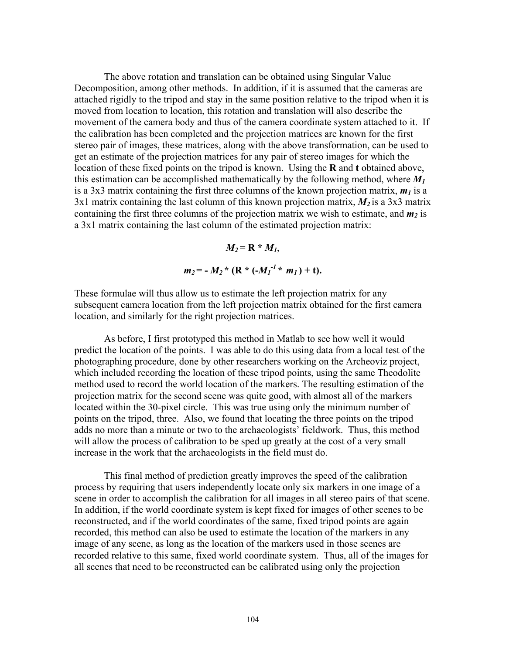The above rotation and translation can be obtained using Singular Value Decomposition, among other methods. In addition, if it is assumed that the cameras are attached rigidly to the tripod and stay in the same position relative to the tripod when it is moved from location to location, this rotation and translation will also describe the movement of the camera body and thus of the camera coordinate system attached to it. If the calibration has been completed and the projection matrices are known for the first stereo pair of images, these matrices, along with the above transformation, can be used to get an estimate of the projection matrices for any pair of stereo images for which the location of these fixed points on the tripod is known. Using the **R** and **t** obtained above, this estimation can be accomplished mathematically by the following method, where  $M_1$ is a 3x3 matrix containing the first three columns of the known projection matrix,  $m_l$  is a  $3x1$  matrix containing the last column of this known projection matrix,  $M_2$  is a 3x3 matrix containing the first three columns of the projection matrix we wish to estimate, and  $m_2$  is a 3x1 matrix containing the last column of the estimated projection matrix:

$$
M_2 = \mathbf{R} * M_1,
$$
  

$$
m_2 = -M_2 * (\mathbf{R} * (-M_1^{-1} * m_1) + \mathbf{t}).
$$

These formulae will thus allow us to estimate the left projection matrix for any subsequent camera location from the left projection matrix obtained for the first camera location, and similarly for the right projection matrices.

As before, I first prototyped this method in Matlab to see how well it would predict the location of the points. I was able to do this using data from a local test of the photographing procedure, done by other researchers working on the Archeoviz project, which included recording the location of these tripod points, using the same Theodolite method used to record the world location of the markers. The resulting estimation of the projection matrix for the second scene was quite good, with almost all of the markers located within the 30-pixel circle. This was true using only the minimum number of points on the tripod, three. Also, we found that locating the three points on the tripod adds no more than a minute or two to the archaeologists' fieldwork. Thus, this method will allow the process of calibration to be sped up greatly at the cost of a very small increase in the work that the archaeologists in the field must do.

This final method of prediction greatly improves the speed of the calibration process by requiring that users independently locate only six markers in one image of a scene in order to accomplish the calibration for all images in all stereo pairs of that scene. In addition, if the world coordinate system is kept fixed for images of other scenes to be reconstructed, and if the world coordinates of the same, fixed tripod points are again recorded, this method can also be used to estimate the location of the markers in any image of any scene, as long as the location of the markers used in those scenes are recorded relative to this same, fixed world coordinate system. Thus, all of the images for all scenes that need to be reconstructed can be calibrated using only the projection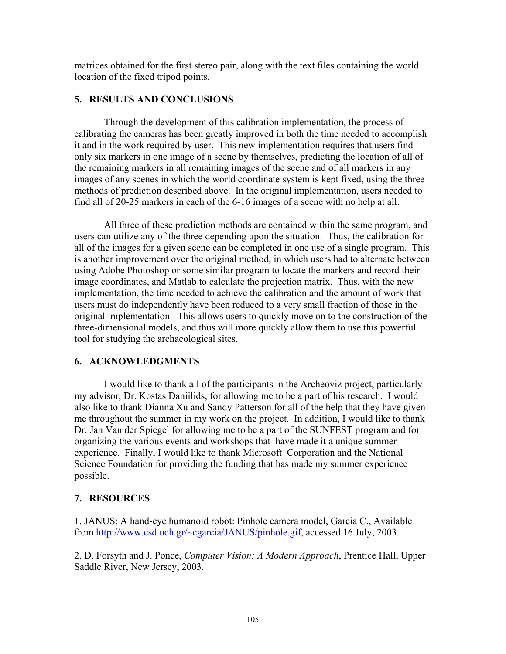matrices obtained for the first stereo pair, along with the text files containing the world location of the fixed tripod points.

## **5. RESULTS AND CONCLUSIONS**

Through the development of this calibration implementation, the process of calibrating the cameras has been greatly improved in both the time needed to accomplish it and in the work required by user. This new implementation requires that users find only six markers in one image of a scene by themselves, predicting the location of all of the remaining markers in all remaining images of the scene and of all markers in any images of any scenes in which the world coordinate system is kept fixed, using the three methods of prediction described above. In the original implementation, users needed to find all of 20-25 markers in each of the 6-16 images of a scene with no help at all.

All three of these prediction methods are contained within the same program, and users can utilize any of the three depending upon the situation. Thus, the calibration for all of the images for a given scene can be completed in one use of a single program. This is another improvement over the original method, in which users had to alternate between using Adobe Photoshop or some similar program to locate the markers and record their image coordinates, and Matlab to calculate the projection matrix. Thus, with the new implementation, the time needed to achieve the calibration and the amount of work that users must do independently have been reduced to a very small fraction of those in the original implementation. This allows users to quickly move on to the construction of the three-dimensional models, and thus will more quickly allow them to use this powerful tool for studying the archaeological sites.

## **6. ACKNOWLEDGMENTS**

I would like to thank all of the participants in the Archeoviz project, particularly my advisor, Dr. Kostas Daniilids, for allowing me to be a part of his research. I would also like to thank Dianna Xu and Sandy Patterson for all of the help that they have given me throughout the summer in my work on the project. In addition, I would like to thank Dr. Jan Van der Spiegel for allowing me to be a part of the SUNFEST program and for organizing the various events and workshops that have made it a unique summer experience. Finally, I would like to thank Microsoft Corporation and the National Science Foundation for providing the funding that has made my summer experience possible.

## **7. RESOURCES**

1. JANUS: A hand-eye humanoid robot: Pinhole camera model, Garcia C., Available from http://www.csd.uch.gr/~cgarcia/JANUS/pinhole.gif, accessed 16 July, 2003.

2. D. Forsyth and J. Ponce, *Computer Vision: A Modern Approach*, Prentice Hall, Upper Saddle River, New Jersey, 2003.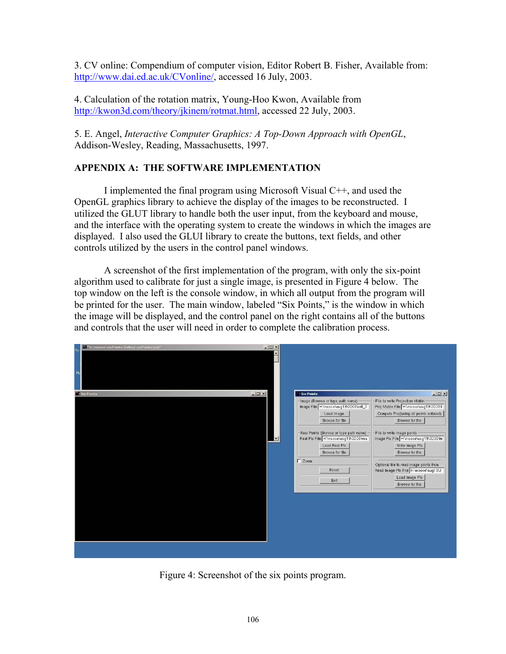3. CV online: Compendium of computer vision, Editor Robert B. Fisher, Available from: http://www.dai.ed.ac.uk/CVonline/, accessed 16 July, 2003.

4. Calculation of the rotation matrix, Young-Hoo Kwon, Available from http://kwon3d.com/theory/jkinem/rotmat.html, accessed 22 July, 2003.

5. E. Angel, *Interactive Computer Graphics: A Top-Down Approach with OpenGL*, Addison-Wesley, Reading, Massachusetts, 1997.

## **APPENDIX A: THE SOFTWARE IMPLEMENTATION**

 I implemented the final program using Microsoft Visual C++, and used the OpenGL graphics library to achieve the display of the images to be reconstructed. I utilized the GLUT library to handle both the user input, from the keyboard and mouse, and the interface with the operating system to create the windows in which the images are displayed. I also used the GLUI library to create the buttons, text fields, and other controls utilized by the users in the control panel windows.

 A screenshot of the first implementation of the program, with only the six-point algorithm used to calibrate for just a single image, is presented in Figure 4 below. The top window on the left is the console window, in which all output from the program will be printed for the user. The main window, labeled "Six Points," is the window in which the image will be displayed, and the control panel on the right contains all of the buttons and controls that the user will need in order to complete the calibration process.

| $-10x$<br><b>1 Six Points</b><br><b>Six Points</b><br>File to write Projection Matrix<br>-Image (Browse or type path name)<br>Image File H:\moose\aug19\3D38\left_3<br>Proj Matrix File H:\moose\aug19\3D38\l<br>Compute Proj(using all points entered)<br>Load Image<br>Browse for file<br>Browse for file<br>Real Points (Browse or type path name)<br>File to write image points<br>Image Pts File H:\moose\aug19\3D38\le<br>Real Pts File H:\moose\aug19\3D38\rea<br>$\blacktriangledown$<br>Load Real Pts<br>Write Image Pts<br>Browse for file<br>Browse for file<br>$\Gamma$ Zoom<br>Optional file to read image points from<br>Read Image Pts File H:\moose\aug19\3<br>Reset<br>Load Image Pts<br>Exit<br>Browse for file | M "h:\moose\sixPoints\Debug\sixPoints.exe"<br>M <sub>1</sub> | $ \Box$ $\times$ |                 |
|-----------------------------------------------------------------------------------------------------------------------------------------------------------------------------------------------------------------------------------------------------------------------------------------------------------------------------------------------------------------------------------------------------------------------------------------------------------------------------------------------------------------------------------------------------------------------------------------------------------------------------------------------------------------------------------------------------------------------------------|--------------------------------------------------------------|------------------|-----------------|
|                                                                                                                                                                                                                                                                                                                                                                                                                                                                                                                                                                                                                                                                                                                                   |                                                              |                  | $  D $ $\times$ |

Figure 4: Screenshot of the six points program.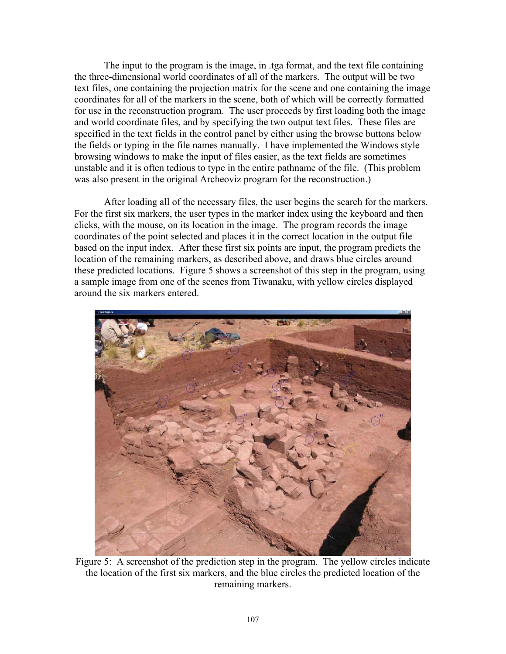The input to the program is the image, in .tga format, and the text file containing the three-dimensional world coordinates of all of the markers. The output will be two text files, one containing the projection matrix for the scene and one containing the image coordinates for all of the markers in the scene, both of which will be correctly formatted for use in the reconstruction program. The user proceeds by first loading both the image and world coordinate files, and by specifying the two output text files. These files are specified in the text fields in the control panel by either using the browse buttons below the fields or typing in the file names manually. I have implemented the Windows style browsing windows to make the input of files easier, as the text fields are sometimes unstable and it is often tedious to type in the entire pathname of the file. (This problem was also present in the original Archeoviz program for the reconstruction.)

After loading all of the necessary files, the user begins the search for the markers. For the first six markers, the user types in the marker index using the keyboard and then clicks, with the mouse, on its location in the image. The program records the image coordinates of the point selected and places it in the correct location in the output file based on the input index. After these first six points are input, the program predicts the location of the remaining markers, as described above, and draws blue circles around these predicted locations. Figure 5 shows a screenshot of this step in the program, using a sample image from one of the scenes from Tiwanaku, with yellow circles displayed around the six markers entered.



Figure 5: A screenshot of the prediction step in the program. The yellow circles indicate the location of the first six markers, and the blue circles the predicted location of the remaining markers.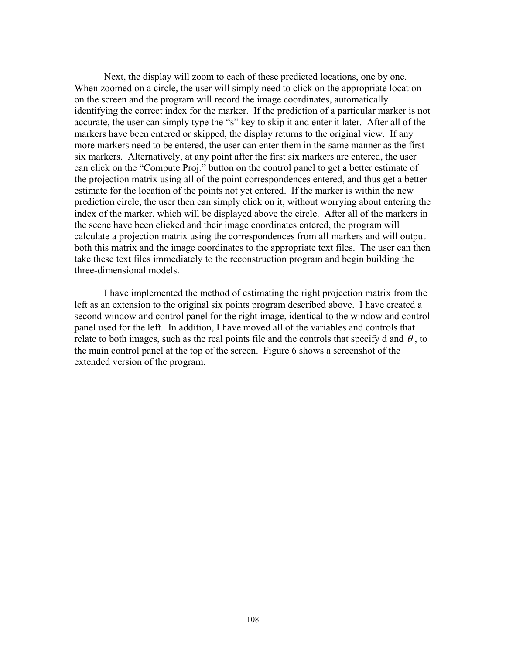Next, the display will zoom to each of these predicted locations, one by one. When zoomed on a circle, the user will simply need to click on the appropriate location on the screen and the program will record the image coordinates, automatically identifying the correct index for the marker. If the prediction of a particular marker is not accurate, the user can simply type the "s" key to skip it and enter it later. After all of the markers have been entered or skipped, the display returns to the original view. If any more markers need to be entered, the user can enter them in the same manner as the first six markers. Alternatively, at any point after the first six markers are entered, the user can click on the "Compute Proj." button on the control panel to get a better estimate of the projection matrix using all of the point correspondences entered, and thus get a better estimate for the location of the points not yet entered. If the marker is within the new prediction circle, the user then can simply click on it, without worrying about entering the index of the marker, which will be displayed above the circle. After all of the markers in the scene have been clicked and their image coordinates entered, the program will calculate a projection matrix using the correspondences from all markers and will output both this matrix and the image coordinates to the appropriate text files. The user can then take these text files immediately to the reconstruction program and begin building the three-dimensional models.

 I have implemented the method of estimating the right projection matrix from the left as an extension to the original six points program described above. I have created a second window and control panel for the right image, identical to the window and control panel used for the left. In addition, I have moved all of the variables and controls that relate to both images, such as the real points file and the controls that specify d and  $\theta$ , to the main control panel at the top of the screen. Figure 6 shows a screenshot of the extended version of the program.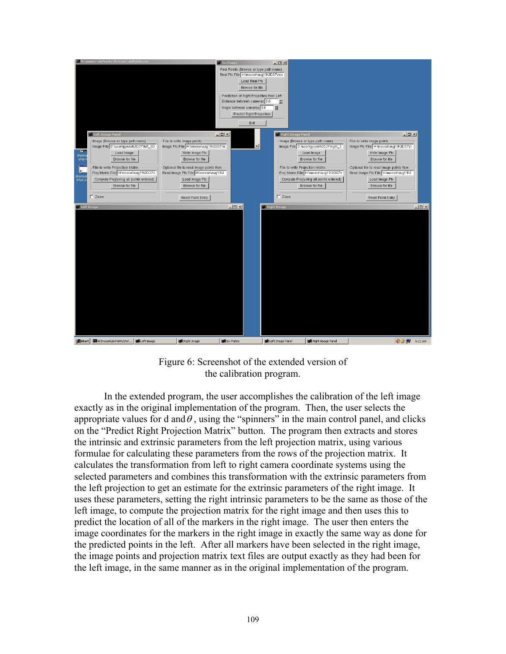

Figure 6: Screenshot of the extended version of the calibration program.

 In the extended program, the user accomplishes the calibration of the left image exactly as in the original implementation of the program. Then, the user selects the appropriate values for d and  $\theta$ , using the "spinners" in the main control panel, and clicks on the "Predict Right Projection Matrix" button. The program then extracts and stores the intrinsic and extrinsic parameters from the left projection matrix, using various formulae for calculating these parameters from the rows of the projection matrix. It calculates the transformation from left to right camera coordinate systems using the selected parameters and combines this transformation with the extrinsic parameters from the left projection to get an estimate for the extrinsic parameters of the right image. It uses these parameters, setting the right intrinsic parameters to be the same as those of the left image, to compute the projection matrix for the right image and then uses this to predict the location of all of the markers in the right image. The user then enters the image coordinates for the markers in the right image in exactly the same way as done for the predicted points in the left. After all markers have been selected in the right image, the image points and projection matrix text files are output exactly as they had been for the left image, in the same manner as in the original implementation of the program.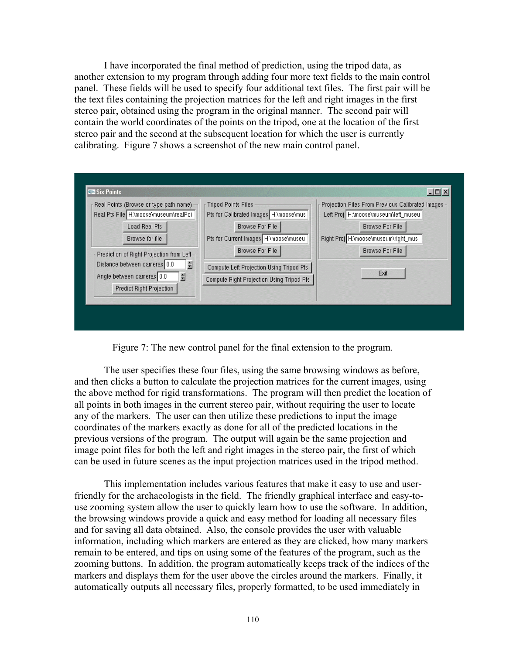I have incorporated the final method of prediction, using the tripod data, as another extension to my program through adding four more text fields to the main control panel. These fields will be used to specify four additional text files. The first pair will be the text files containing the projection matrices for the left and right images in the first stereo pair, obtained using the program in the original manner. The second pair will contain the world coordinates of the points on the tripod, one at the location of the first stereo pair and the second at the subsequent location for which the user is currently calibrating. Figure 7 shows a screenshot of the new main control panel.

| Real Points (Browse or type path name)                              | <b>Tripod Points Files</b>                | Projection Files From Previous Calibrated Images - |
|---------------------------------------------------------------------|-------------------------------------------|----------------------------------------------------|
| Real Pts File H:\moose\museum\realPoil                              | Pts for Calibrated Images H:\moose\mus    | Left Proj H:\moose\museum\left_museu               |
| Load Real Pts                                                       | <b>Browse For File</b>                    | <b>Browse For File</b>                             |
| Browse for file                                                     | Pts for Current Images H:\moose\museu     | Right Proj H:\moose\museum\right_mus               |
| Prediction of Right Projection from Left-                           | <b>Browse For File</b>                    | <b>Browse For File</b>                             |
| Distance between cameras 0.0<br>슬<br>슬<br>Angle between cameras 0.0 | Compute Left Projection Using Tripod Pts  | Exit                                               |
| Predict Right Projection                                            | Compute Right Projection Using Tripod Pts |                                                    |
|                                                                     |                                           |                                                    |

Figure 7: The new control panel for the final extension to the program.

 The user specifies these four files, using the same browsing windows as before, and then clicks a button to calculate the projection matrices for the current images, using the above method for rigid transformations. The program will then predict the location of all points in both images in the current stereo pair, without requiring the user to locate any of the markers. The user can then utilize these predictions to input the image coordinates of the markers exactly as done for all of the predicted locations in the previous versions of the program. The output will again be the same projection and image point files for both the left and right images in the stereo pair, the first of which can be used in future scenes as the input projection matrices used in the tripod method.

 This implementation includes various features that make it easy to use and userfriendly for the archaeologists in the field. The friendly graphical interface and easy-touse zooming system allow the user to quickly learn how to use the software. In addition, the browsing windows provide a quick and easy method for loading all necessary files and for saving all data obtained. Also, the console provides the user with valuable information, including which markers are entered as they are clicked, how many markers remain to be entered, and tips on using some of the features of the program, such as the zooming buttons. In addition, the program automatically keeps track of the indices of the markers and displays them for the user above the circles around the markers. Finally, it automatically outputs all necessary files, properly formatted, to be used immediately in